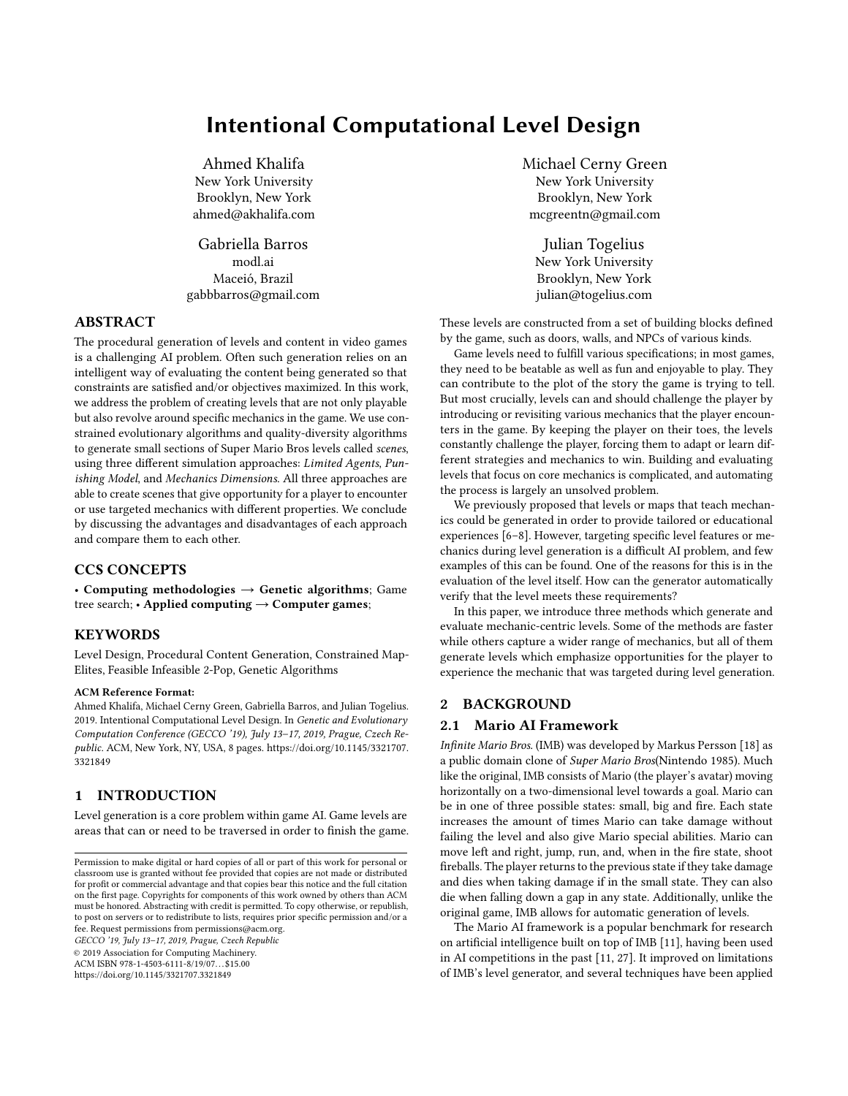# Intentional Computational Level Design

Ahmed Khalifa New York University Brooklyn, New York ahmed@akhalifa.com

Gabriella Barros modl.ai Maceió, Brazil gabbbarros@gmail.com

# ABSTRACT

The procedural generation of levels and content in video games is a challenging AI problem. Often such generation relies on an intelligent way of evaluating the content being generated so that constraints are satisfied and/or objectives maximized. In this work, we address the problem of creating levels that are not only playable but also revolve around specific mechanics in the game. We use constrained evolutionary algorithms and quality-diversity algorithms to generate small sections of Super Mario Bros levels called scenes, using three different simulation approaches: Limited Agents, Punishing Model, and Mechanics Dimensions. All three approaches are able to create scenes that give opportunity for a player to encounter or use targeted mechanics with different properties. We conclude by discussing the advantages and disadvantages of each approach and compare them to each other.

# CCS CONCEPTS

• Computing methodologies  $\rightarrow$  Genetic algorithms; Game tree search; • Applied computing  $\rightarrow$  Computer games;

#### **KEYWORDS**

Level Design, Procedural Content Generation, Constrained Map-Elites, Feasible Infeasible 2-Pop, Genetic Algorithms

#### ACM Reference Format:

Ahmed Khalifa, Michael Cerny Green, Gabriella Barros, and Julian Togelius. 2019. Intentional Computational Level Design. In Genetic and Evolutionary Computation Conference (GECCO '19), July 13–17, 2019, Prague, Czech Republic. ACM, New York, NY, USA, [8](#page-7-0) pages. [https://doi.org/10.1145/3321707.](https://doi.org/10.1145/3321707.3321849) [3321849](https://doi.org/10.1145/3321707.3321849)

### 1 INTRODUCTION

Level generation is a core problem within game AI. Game levels are areas that can or need to be traversed in order to finish the game.

GECCO '19, July 13–17, 2019, Prague, Czech Republic

© 2019 Association for Computing Machinery.

ACM ISBN 978-1-4503-6111-8/19/07... \$15.00

<https://doi.org/10.1145/3321707.3321849>

Michael Cerny Green New York University Brooklyn, New York mcgreentn@gmail.com

Julian Togelius New York University Brooklyn, New York julian@togelius.com

These levels are constructed from a set of building blocks defined by the game, such as doors, walls, and NPCs of various kinds.

Game levels need to fulfill various specifications; in most games, they need to be beatable as well as fun and enjoyable to play. They can contribute to the plot of the story the game is trying to tell. But most crucially, levels can and should challenge the player by introducing or revisiting various mechanics that the player encounters in the game. By keeping the player on their toes, the levels constantly challenge the player, forcing them to adapt or learn different strategies and mechanics to win. Building and evaluating levels that focus on core mechanics is complicated, and automating the process is largely an unsolved problem.

We previously proposed that levels or maps that teach mechanics could be generated in order to provide tailored or educational experiences [\[6](#page-6-0)[–8\]](#page-6-1). However, targeting specific level features or mechanics during level generation is a difficult AI problem, and few examples of this can be found. One of the reasons for this is in the evaluation of the level itself. How can the generator automatically verify that the level meets these requirements?

In this paper, we introduce three methods which generate and evaluate mechanic-centric levels. Some of the methods are faster while others capture a wider range of mechanics, but all of them generate levels which emphasize opportunities for the player to experience the mechanic that was targeted during level generation.

#### 2 BACKGROUND

#### 2.1 Mario AI Framework

Infinite Mario Bros. (IMB) was developed by Markus Persson [\[18\]](#page-7-1) as a public domain clone of Super Mario Bros(Nintendo 1985). Much like the original, IMB consists of Mario (the player's avatar) moving horizontally on a two-dimensional level towards a goal. Mario can be in one of three possible states: small, big and fire. Each state increases the amount of times Mario can take damage without failing the level and also give Mario special abilities. Mario can move left and right, jump, run, and, when in the fire state, shoot fireballs. The player returns to the previous state if they take damage and dies when taking damage if in the small state. They can also die when falling down a gap in any state. Additionally, unlike the original game, IMB allows for automatic generation of levels.

The Mario AI framework is a popular benchmark for research on artificial intelligence built on top of IMB [\[11\]](#page-6-2), having been used in AI competitions in the past [\[11,](#page-6-2) [27\]](#page-7-2). It improved on limitations of IMB's level generator, and several techniques have been applied

Permission to make digital or hard copies of all or part of this work for personal or classroom use is granted without fee provided that copies are not made or distributed for profit or commercial advantage and that copies bear this notice and the full citation on the first page. Copyrights for components of this work owned by others than ACM must be honored. Abstracting with credit is permitted. To copy otherwise, or republish, to post on servers or to redistribute to lists, requires prior specific permission and/or a fee. Request permissions from permissions@acm.org.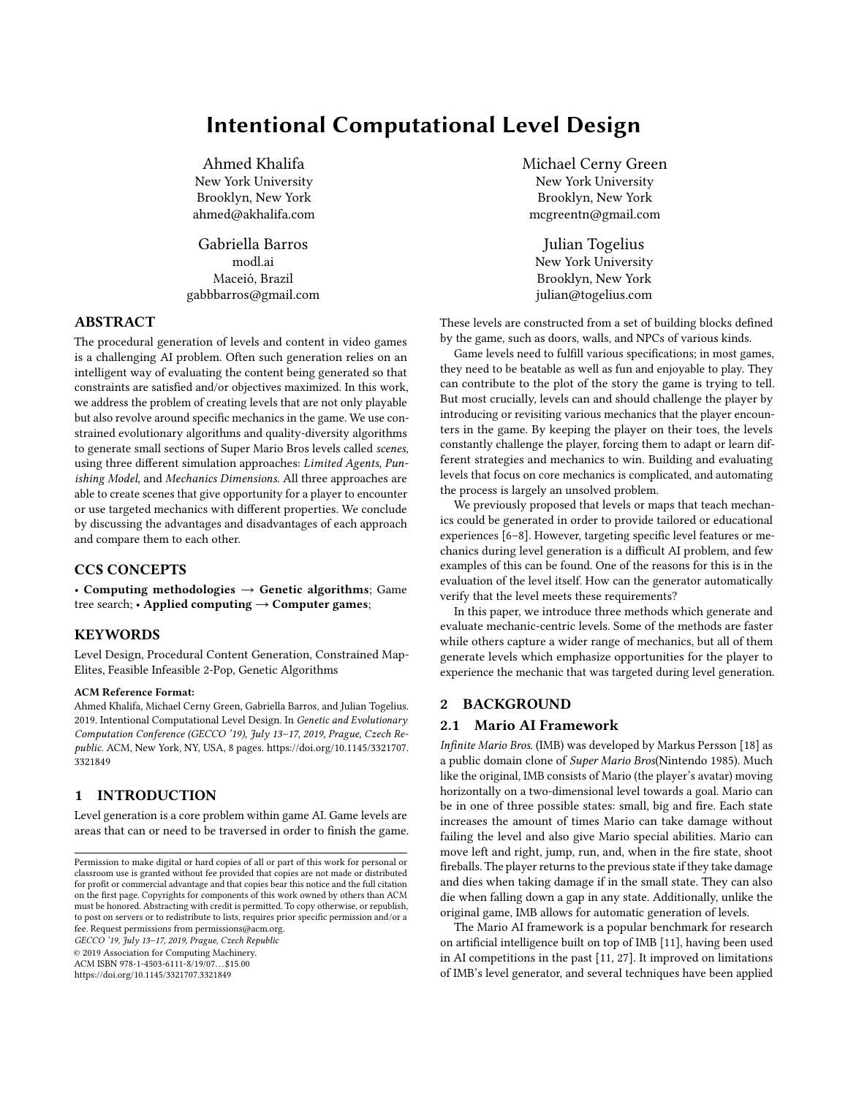to automatically play [\[11\]](#page-6-2) or create levels [\[20,](#page-7-3) [24\]](#page-7-4), some of which are search-based methods.

# 2.2 Search Based Procedural Content Generation

Search-based PCG is a technique that explores possible generative space via search methods. One example is evolutionary algorithmic search [\[28\]](#page-7-5), a type of optimization inspired by Darwinian evolutionary concepts like reproduction, fitness, and mutation. Search-based methods can be used to generate levels and content within games. Ashlock et al. [\[2,](#page-6-3) [4\]](#page-6-4) developed a variety of ways to do this, such as optimized puzzle generation for different difficulties, and stylized cellular automata evolution for cave generation [\[3\]](#page-6-5). In a different approach, McGuinness et al. [\[16\]](#page-7-6) created a system that decomposed level generation into an evolutionary micro-macro process.

We have previously used evolution to generate levels in several domains, such as General Video Game AI and PuzzleScript [\[12\]](#page-6-6). Later work by Khalifa et al. [\[14\]](#page-7-7) used constrained Map-Elites, a hybrid evolutionary search, to generate levels for bullet hell games, and, using automated playing agents with different parameters to mimic various human play-styles, Talakat was able to target multiple types of levels simultaneously. Shaker et al. [\[19\]](#page-7-8) evolved levels for Cut the Rope (ZeptoLab 2010) using constraint evolutionary search where the fitness measures the playability of a level using playable agents. Khalifa et al. [\[13\]](#page-7-9) offers a literature review of search based level generation within puzzle games. Finally, Green et al. developed an evolutionary level generator which curated training data for a deep reinforcement learning agent [\[9\]](#page-6-7), procedurally evolving levels to continually challenge it in training.

Very few attempts have been made to generate game levels that specifically enable or require particular mechanics. The educational game Refraction (Center for Game Science at the University of Washington 2010) generates levels using answer set programming to target particular level features [\[22\]](#page-7-10). We previously proposed a method to automatically generate these experiences using searchbased procedural content generation methods, which the current work directly builds on and extends significantly [\[7\]](#page-6-8).

# 2.3 Level Generation for the Mario AI Framework

The Mario AI framework's organizers hosted competitions for level generation in 2010 and 2012 [\[27\]](#page-7-2). Horne et al. [\[10\]](#page-6-9) assembled a comprehensive list of these generators, briefly described here, in addition to other generators written outside the competition.

The Notch and the Parameterized-Notch generators create levels from left to right by adding game elements through probability and performing basic checks to ensure playability [\[21\]](#page-7-11). Similarly, the Hopper generator also designs levels from left to right and adds game elements through probability, but unlike the previous generators, these probabilities adapt to player performance which results in a dynamic level generator [\[20\]](#page-7-3). Launchpad is a rhythmbased level generator which uses grammars to create levels within rhythmical constraints [\[23\]](#page-7-12). The Occupancy-Regulated Extension generator glues small hand-authored chunks together into complete levels [\[20\]](#page-7-3). The Pattern-based generator uses slices taken from the original Super Mario Bros (Nintendo 1985) to evolve levels, where

<span id="page-1-0"></span>

Figure 1: Super Mario Bros scene where Mario need to jump over a gap from the first pyramid to the second pyramid.

the fitness function counts the number of occurrences of specified sections of slices, with the objective of maximizing the number of different slices [\[5\]](#page-6-10). The Grammatical Evolution generator evolves levels with design grammars. Levels are represented as instructions for expanding design patterns, and the fitness function measures the number of items in the level and the number of conflicts between the placement of these items. In previous work, we [\[7\]](#page-6-8) generated small level "scenes" that try to teach the player specific mechanics, like high jumping or stomping on enemies.

# 3 METHODS

In this project, we generate scenes for the Mario AI Framework. A scene is a small section of the level that encapsulate a certain idea [\[1\]](#page-6-11). For example, figure [1](#page-1-0) shows a scene from the first Super Mario Bros (Nintendo 1985) where the idea is to make sure the player learns about the jump mechanic by accurately jumping from the first pyramid to the second pyramid without falling in the gap. We explore three different search-based approaches to generate scenes: "Limited Agents", "Punishing Model" and "Mechanics Dimensions".

The "Limited Agents" technique uses two separate agents to generate levels. One of these agents is, ideally, a "perfect" agent, meaning that it is always able to find a way to beat the level if any such way exists. The second agent is a variant of a perfect agent but limited in some mechanic-based way (for example, being completely unable to jump in the game). The technique strives to make sure that, given a generated scene, a perfect agent (i.e. an agent that knows all mechanics) can beat it, but an agent that lacks a required mechanic cannot [\[7\]](#page-6-8). The "Punishing Model" uses one agent (the perfect agent) but with two different forward models. One of these forward models is perfect while the other punishes the agent for causing certain mechanics during play.

These two techniques use the Feasible Infeasible 2-Population (FI2Pop) algorithm [\[15\]](#page-7-13) to generate levels, which will be discussed in details in the next subsection. The last approach, "Mechanics Dimensions", uses the Constrained Map-Elites (CMElites) algorithm [\[14\]](#page-7-7) to generate passable scenes using the perfect agent and recording every mechanic that fires during that playthrough. The algorithm places the chromosome in the appropriate cell in the CMElites' map depending on the fired game mechanics.

#### 3.1 Evolutionary Algorithms

This project uses two different types of evolutionary search to generate scenes: Feasible-Infeasible 2-Population (FI2Pop) and Constrained Map-Elites. As mentioned above, the "Punishing Model" and the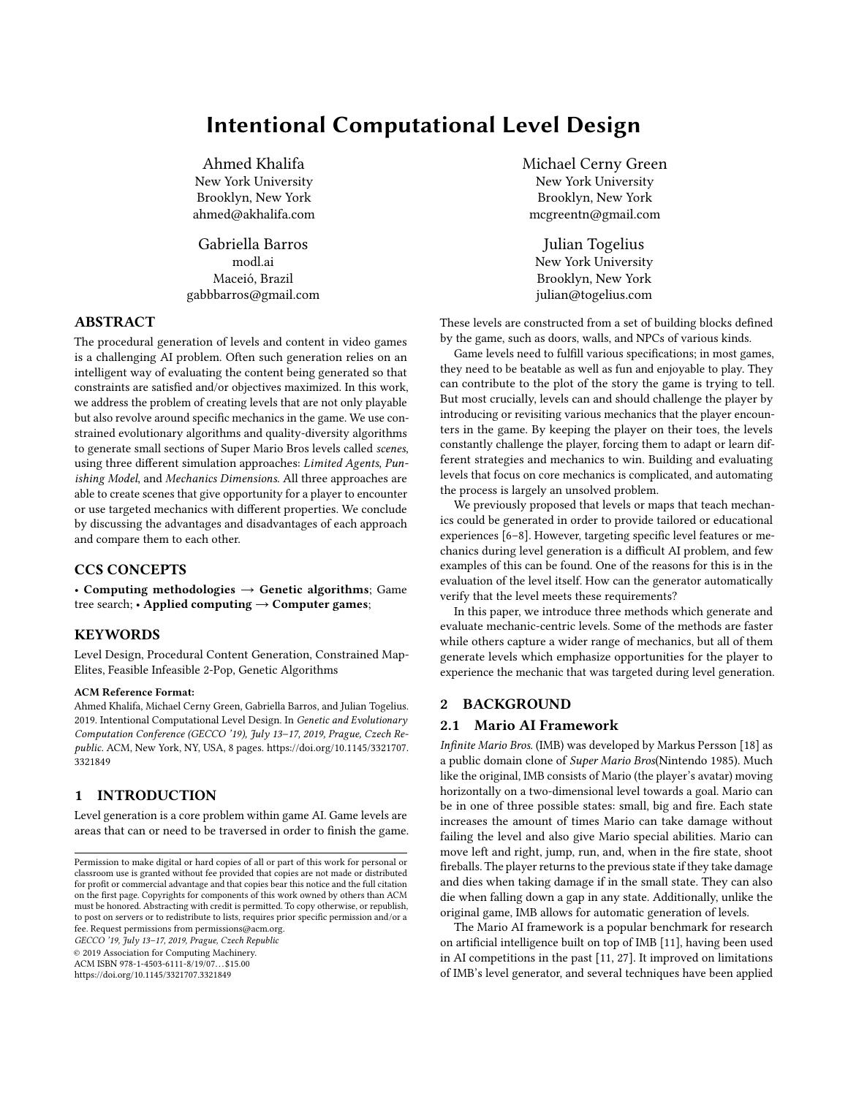<span id="page-2-0"></span>

Figure 2: The chromosome consists of 14 vertical slices padded with 3 floor slices on both ends.

"Limited Agents" methods used FI2Pop, while the "Mechanics Dimensions" approach used Constrained Map-Elites. The following subsections describe these in more detail.

3.1.1 Feasible Infeasible 2-Population. FI2Pop is a genetic algorithm that uses a dual-population technique [\[15\]](#page-7-13). One of these, the "feasible" population, attempts to improve the overall quality of chromosomes contained within. These chromosomes can occasionally break constraints while improving and are consequently placed into the "infeasible" population. The fitness function of the infeasible population drives chromosomes toward parameters that bring them back within the constraints of the "feasible" population.

3.1.2 Constrained Map-Elites. Constrained Map-Elites [\[14\]](#page-7-7) is a hybrid genetic algorithm that uses FI2Pop on top of the Map-Elites algorithm [\[17\]](#page-7-14). As with standard Map-Elites, it maintains a map of n-dimensions instead of using a population. Each dimension is sampled into more than one value which divides the map into a group of cells. The dimensions usually correspond to a chromosome behavior such as the number of coins collected in a Super Mario Bros playthrough. However, where in the standard Map-Elites each cell stores one chromosome or a population, in Constrained Map-Elites each cell stores two populations similar to FI2Pop: one for the feasible chromosomes and the other for the infeasible chromosomes. Chromosomes can be moved between cells (if they change their dimensions) and/or between populations within their cell (if they fit within the feasible population's constraints or not).

#### 3.2 Scene Representation

Chromosomes are represented the same way in all three approaches. We assumed that a Super Mario Bros (Nintendo 1985) screen is equivalent to a scene. Therefore, chromosomes are represented as a sequence of vertical slices sampled from the first Super Mario Bros, similar to the representation used by Dahlskog and Togelius [\[5\]](#page-6-10). A scene consists of 14 vertical slices padded with three floor slices surrounding the scene, as shown in Figure [2.](#page-2-0) This padding is necessary to ensure that there is a safe area where Mario starts and finishes the level. Additionally, these slices were collected from the levels presented in the Video Game Level Corpus (VGLC) [\[25\]](#page-7-15). There are 3721 vertical slices in the corpus with 528 unique vertical slices. Slices are sampled based on their percentage of appearance in the

VGLC. For example: a flat ground slice will have a higher chance to be picked compared to other slices.

#### 3.3 Scene Evaluation

Scenes are evaluated in relation to specific constraints, which differ slightly among the different techniques and will be discussed in later sections. If the scene satisfies these constraints, it is also evaluated in terms of simplicity. The simplicity fitness is unified between all the techniques and tries to reduce the entropy in the scene. The entropy calculation makes sure that generated scenes place tile efficiently and have high horizontal consistency. Equation [1](#page-2-1) shows the fitness calculation equation.

<span id="page-2-1"></span>
$$
fitness = {}^{1}0:2 {}^{1}1 \quad H^1X^{000} + 0:8 \quad 1 \quad H \quad \bar{X} \tag{1}
$$

where  $X$  is the set of different used tile types in the scene and  $\overline{X}$  is the set of horizontal tile changes in the scene. We weighted the latter (i.e. the horizontal change entropy part) higher than the former, as the abrupt changes in tiles occur more often when there are many different types of objects, making the scene look noisy. For example, if there are two scenes with the same amount of objects, they will have the same entropy, but the order of their arrangement will affect the horizontal change entropy calculations.

Regarding the aforementioned constraints, all approaches make sure that the scene is playable by using Robin Baumgarten's A\* agen, the winner of the first Mario AI competition [\[26\]](#page-7-16). Besides the playability constraint, another constraint is included to make sure that the scenes contain the targeted mechanic, whatever that may be. This additional constraint will be discussed in detail for each approach in the following subsections.

3.3.1 Limited Agents. For this technique, we used two agents: Robin Baumgarten's A\* agent (the "perfect agent") and a modified version of it that we called the "limited agent". It is important to note here that the A\* is not, in reality, perfect. However, it is about as close to perfect an agent for Mario as possible at this current moment. Similar to previous work [\[7\]](#page-6-8) during the scene evaluation phase, the constraint is satisfied when the perfect agent can win the scene while the limited agent cannot.

In case the constraint is not satisfied, two scenarios may occur. If both agents win the level, the fitness of the chromosome is 0. If neither agent wins the level, then the chromosome's fitness is proportional to the difference of the distance traveled by the two agents. Maximizing the relative distance between the perfect agent and the limited agent is directly proportional to satisfying the constraint. A good scene can be defined as the perfect agent traversing the entire scene while the limited agent travels less. Equation [2](#page-2-2) shows the constraints equation:

<span id="page-2-2"></span>
$$
constraints = \n\begin{cases}\n\mathbf{I} & \text{if } A_{perf} = 1 & \& A_{limit} = 0 \\
\frac{d_{perf} \quad d_{limit}}{d_{scene}} & \text{otherwise}\n\end{cases}\n\tag{2}
$$

where  $A_{perf}$  and  $A_{limit}$  are the result of the perfect agent and the limited agent playing the scene, respectively being 1 when the agent wins and 0 otherwise;  $d_{perf}$  and  $d_{limit}$  are the distances traveled by the perfect- and the limited agent.  $d_{\text{scene}}$  is the length of the full scene, used to normalize the result to the 1 and 1 range.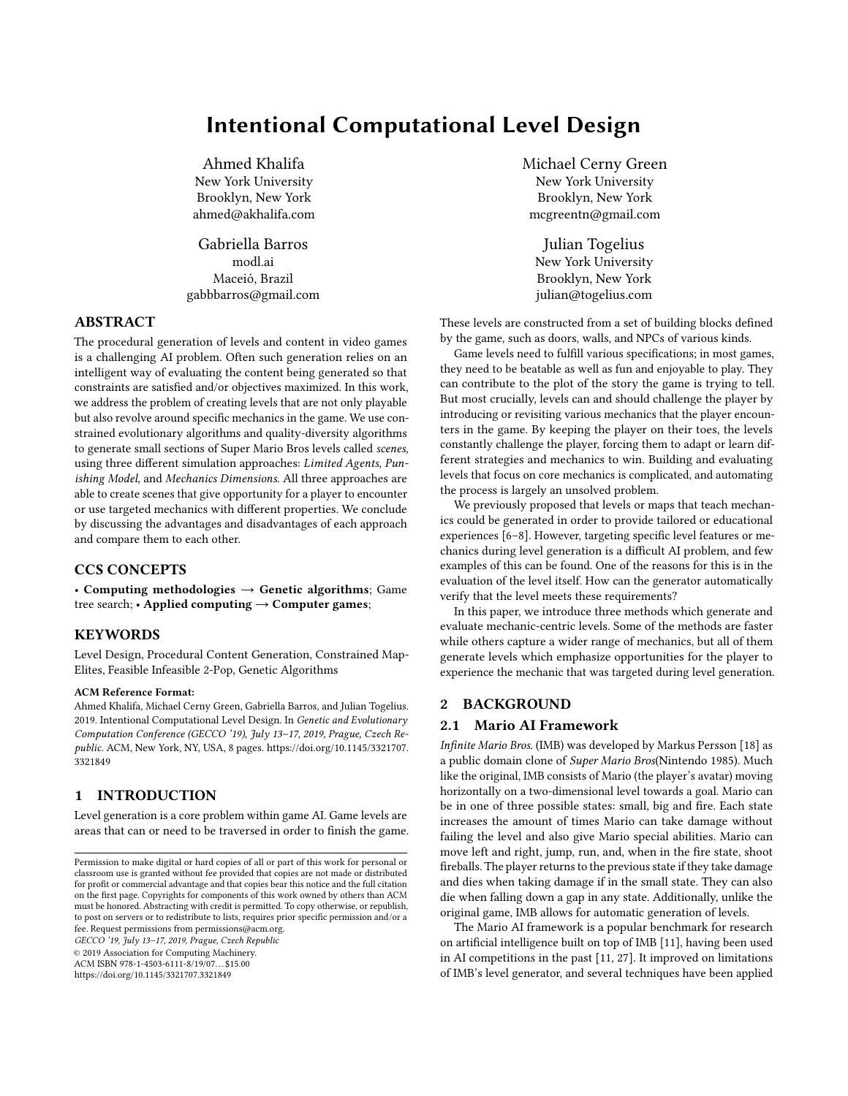<span id="page-3-0"></span>

| Agent        | Limitation                               |
|--------------|------------------------------------------|
| No Run       | can't press the run button.              |
| Limited Jump | can't hold the jump button for too long. |
| Enemy Blind  | doesn't see enemies.                     |

Table 1: Agents' Limitation

<span id="page-3-1"></span>

| Mechanic Model | Punishment                                    |
|----------------|-----------------------------------------------|
| High Jump      | kills the player if they hold the jump button |
|                | for too long.                                 |
| Speed          | kills the player if they exceed a certain $x$ |
|                | velocity.                                     |
| Stomp          | kills the player if they stomp an enemy.      |
| Shell Kill     | kills the player if they kill an enemy using  |
|                | a koopa shell.                                |
| Mushroom       | kills the player if they collect a mushroom.  |
| Coin           | kills the player if they collect a coin.      |

Table 2: Mechanic models and their perceived punishments

In this work, we used three different types of limited agents, shown in table [1.](#page-3-0) We limited ourselves to the same agents from previous work [\[7\]](#page-6-8) because adding additional mechanic based limitations has less impacting for this technique. For example, in the case of the coin collection mechanic, an agent that is coin-blind won't die or stop the game's execution if it didn't collect a coin.

3.3.2 Punishing Model. This technique uses only one agent (the perfect agent), but relies on two different forward models. The first forward model, called "normal model", behaves as expected in the game. However, the second forward model, the "punishing model", makes the agent believe that it will die when a certain mechanic is fired. For example, the agent believes it will die if it stomps on an enemy and consequently tries to avoid doing so. The constraints' value is calculated using equation [2,](#page-2-2) using the punishing forward model's results instead of the limited agent's.

Table [2](#page-3-1) shows six different punishing models used in this project. These are six different basic mechanics that appear in the original Super Mario Bros. We exclude mechanics that only appeared in following titles, such as wall jumping and ground pound.

3.3.3 Mechanics Dimensions. From an architectural standpoint this is simplest of the three techniques, using only one agent (the perfect agent) and one forward model (the normal forward model). The constraints value is equal to 1 if the agent can beat the scene, and directly proportional to the traversed distance otherwise, as shown in Equation [3.](#page-3-2)

<span id="page-3-2"></span>
$$
constraints = \begin{cases} \n\mathbf{f} & \text{if } A_{perf} = 1\\ \n\frac{d_{perf}}{d_{screen}} & \text{otherwise} \n\end{cases}
$$
 (3)

where  $A_{perf}$  is the result of a perfect agent playing the scene,  $d_{perf}$  is the distance traversed by the agent, and  $d_{scene}$  is the scene length, used to normalized the result to 0 1. length, used to normalized the result to 0

After calculating the constraints, the playthrough is analyzed to extract the different types of mechanics that were fired during play. This extracted information is used to create binary dimensions for the constrained map-elites algorithm. Table [3](#page-3-3) shows the different mechanics extracted from the playthrough. These mechanics were

<span id="page-3-3"></span>

| Dimension        | Description                                    |
|------------------|------------------------------------------------|
| Jump             | is 1 if the player jumped in the level and 0   |
|                  | otherwise.                                     |
| High Jump        | is 1 if the player jumped higher than a cer-   |
|                  | tain value and 0 otherwise.                    |
| Long Jump        | is 1 if the player's horizontal traversed dis- |
|                  | tance after landing is larger than a certain   |
|                  | value and 0 otherwise.                         |
| Stomp            | is 1 if the player stomped on an enemy and     |
|                  | 0 otherwise.                                   |
| Shell Kill       | is 1 if the player killed an enemy using a     |
|                  | koopa shell and 0 otherwise.                   |
| <b>Fall Kill</b> | is 1 if an enemy dies because of falling out   |
|                  | of the scene and 0 otherwise.                  |
| Mushroom         | is 1 if the player collected a mushroom dur-   |
|                  | ing the scene and 0 otherwise.                 |
| Coin             | is 1 if the player collected a coin during the |
|                  | scene and 0 otherwise.                         |

Table 3: Constrained Map-Elites' dimensions.

selected in order to be similar to the six mechanics used in the punishing model approach, but also include additional mechanics like "Jump" and "Fall Kill," which were more difficult or impossible to represent/isolate in the punishing model or limited agent approach. For example, fall kill was added to help differentiate between scenes that requires overcoming enemies through action and scenes where enemies will fall out of the scene if the player has waited or even played imperfectly (killing through inaction). Furthermore, the different jump types were added to differentiate between scenes that required (1) running and jumping, or (2) holding the jump button for a bit longer to high jump, or (3) just a small tap.

#### 4 RESULTS

We ran all three approaches for 1000 generations (for FI2Pop) / iterations (for Constrained Map-Elites), where each generation/iteration consists of 100 new chromosomes. We ran each experiment with its different configurations for 5 times. In the Constrained Map-Elites, infeasible population size was fixed to twenty chromosomes, and the feasible population size was fixed to one chromosome. These values were selected based on our current available resources and also to make sure that generation algorithm will finish in under than 12 hours using 25 CPU cores.

We used a two point crossover that swaps any number of slices, ranging from a single slice to the full scene. The mutation replaces a single slice with a random slice sampled from slices in the original Super Mario Bros. For FI2Pop, elitism was used to preserve the best chromosome across generations. Robin Baumgarten A\* agent is not an actual perfect agent, rather, but only a close approximation of one. As a result, chromosomes do not always receive the same constrained value over multiple playthroughs (the agent may perform different actions in the exact same scenario). To counter this, we keep the lowest constrained value after evaluation of the chromosomes between generations.

The following subsections present the results of each of our three approaches. These results were evaluated by members of our team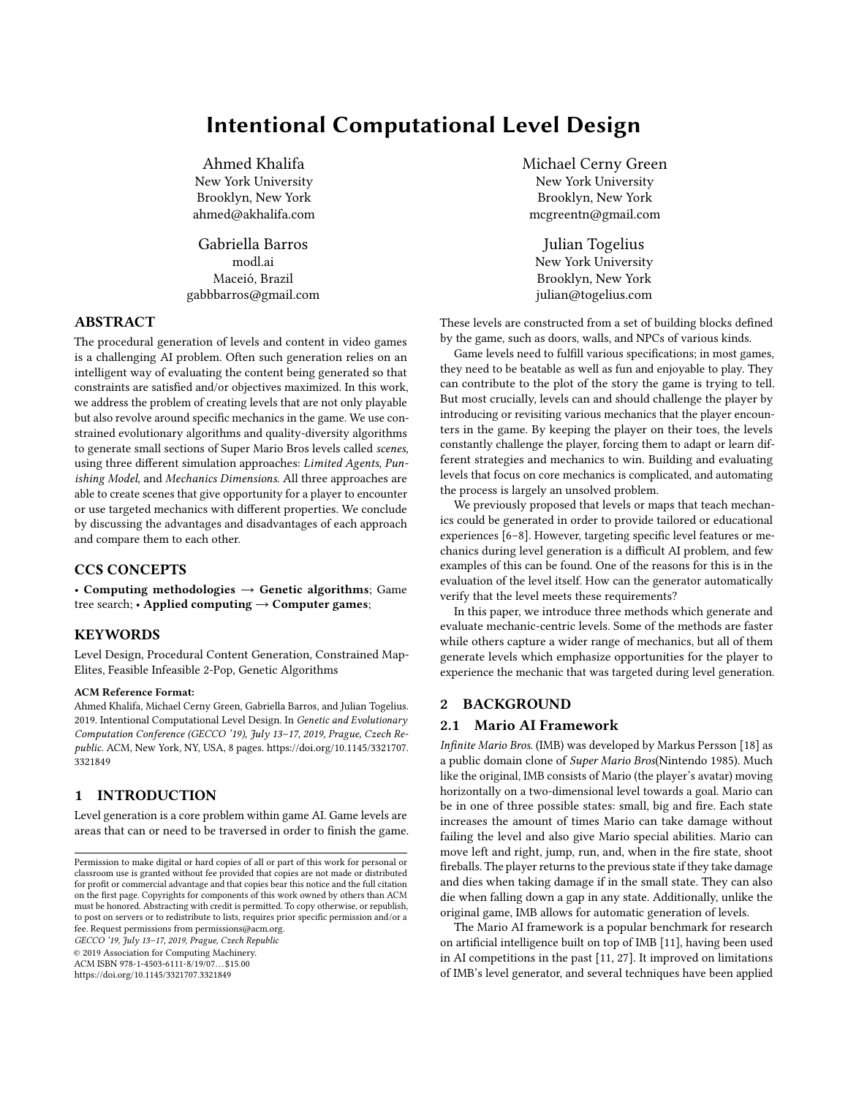<span id="page-4-0"></span>



Figure 3: The average maximum fitness value and the standard error of the limited agents approaches over the 5 runs.

through playing the generated levels themselves and capturing their observations.

## 4.1 Limited Agents

The "Limited Agents" approach finds the targeted technique faster than any other approach. Figure [3](#page-4-0) shows the average maximum fitness for each of the targeted mechanics. The Enemy Blind agent was the fastest, finding the best chromosome by generation eight. Its constraints were simpler than that of other agents, as it only cared about overcoming enemies instead of more specific mechanics like stomping on them. On the other hand, the No Run agent quickly found a good, albeit unstable, solution, resulting in a noisy fitness line. Unstable solutions are solutions where constraints are satisfied due to the agent being imperfect, thus their constraints' values change whenever a better playthrough is found, causing them to sometimes move to the infeasible population instead.

Figure [4](#page-5-0) shows the best chromosome at the end of the 1000 generations for each targeted mechanic from one of the 5 runs. Using both Enemy Blind and Limited Jump, the generated scenes satisfy the targeted mechanics. The Enemy Blind agent's scene required the agent to overcome a koopa troopa in order to proceed, either by stomping on it or jumping over it. The Limited Jump agent's scene requires both running and holding the jump button for many time ticks to pass a gap. However, the No Run agent's scene can be passed without running if the player waits (until the koopa paratroopa lands) and then move to finish the level, or by jumping on top of the koopa paratroopas. This scene was generated due to one of the imperfect playthroughs, where the agent moves forward immediately when the scene starts, dying as soon as the koopa paratroopa lands on them, rendering that scene unstable. Also of note, the Limited Jump agent's scene can act as a No Run agent's scene as well, as the gap cannot be passed without running and holding the jump button. From analyzing the best chromosome from all the 5 runs, we found that all the generated levels are different from each other except for the Enemy Blind Agent experiment. As all the generated levels looks similar to figure [4c](#page-5-0) but with different enemy x positions or types.

#### 4.2 Punishing Model

The punishing model is the slowest technique to find a targeted mechanic as the A\* agent spent every tick trying to compute alternative paths to not die from the punishing forward model. Figure [5](#page-5-1) shows the average maximum fitness for each of these mechanics. Results show several unstable scenes for most iterations, before stabilizing, except for the Mushroom Punishing Model, which never stabilized and always fluctuated between a 0 fitness (no scenes satisfied the constraints) and above a <sup>0</sup>:8. This instability was caused from forcing the AI to try find every possible path at every tick. Occasionally the agent missed a viable solution without triggering the mechanic in one generation but later found it in the next, therefore changing the chromosome's constraints and fitness.

Figure [6](#page-6-12) shows results for each targeted mechanic from one of the 5 runs. The scenes generated for the High Jump-, Speed-, Stomp-, and Coin Punishing Model are impossible to win unless the targeted mechanic is used. The remaining two generated scenes rely heavily on the use of the targeted mechanic, but a creative agent (or human) may notice other solutions that do not involve that mechanic. The existence of these scenes occur because the agent is imperfect, therefore it cannot exhaustively search for all possible solutions to ensure they require use of the mechanic. By looking at all the best chromosomes from all the 5 runs, we found that all the generated scenes, while not explicitly requiring the mechanic, do provide all the ingredients needed for the mechanic to occur. For example, the shell kill punishing model requires having at least two koopas, speed punishing model requires having a large gap, etc.

#### 4.3 Mechanics Dimensions

The "Mechanics Dimensions" approach used a constrained map elites algorithm to find scenes containing the targeted mechanics. Figure [7](#page-6-13) shows the average number of elites found during 1000 iterations. These numbers always increase, meaning that the algorithm can find more scenes as iterations pass.

The constrained map-elites algorithm was able to find a huge set of different combinations of mechanics that range from having all mechanics being triggered to none of them. Figure [8](#page-7-17) shows several generated scenes with various fired mechanics. Figure [8a](#page-7-17) doesn't need any mechanic to fire, as the floor is flat without game objects (i.e. enemies, coins, etc). Figure [8b](#page-7-17) shows a scene that fires four different mechanics (jump, high jump, stomp, and coin) and figure [8c](#page-7-17) shows a scene that fires all eight different mechanics. It has two enemies to guarantee shell kill, a question mark block for the mushroom, etc. However, one may notice that these scenes do not guarantee a mechanic will be fired. For example, Figure [8c](#page-7-17) could be passed from the top of the blocks without interacting with enemies at all.

The mechanics dimensions method contains multiple mechanics centered around how enemies can die. Figure [9](#page-7-18) shows three scenes with different types of enemy killing. For example, in a fall kill scene, the generated scene contains goombas, as they can fall of the edge (Figure [9a\)](#page-7-18). In a stomp kill scene, the generated scene contains a red koopa troopa since they cannot fall of the edge of the screen (Figure [9b\)](#page-7-18). Lastly, in scenes which target every type of kill, the generated scene contains at least two enemies, where one of them can fall of the edge (green koopa troopa) (Figure [9c\)](#page-7-18).

Similar to the kill mechanics, the mechanics dimensions method also contains a variety of jump mechanics. Figure [10](#page-7-19) shows three scenes targeting different ways to jump. The first scene targets the normal jump, which does not require holding the jump button for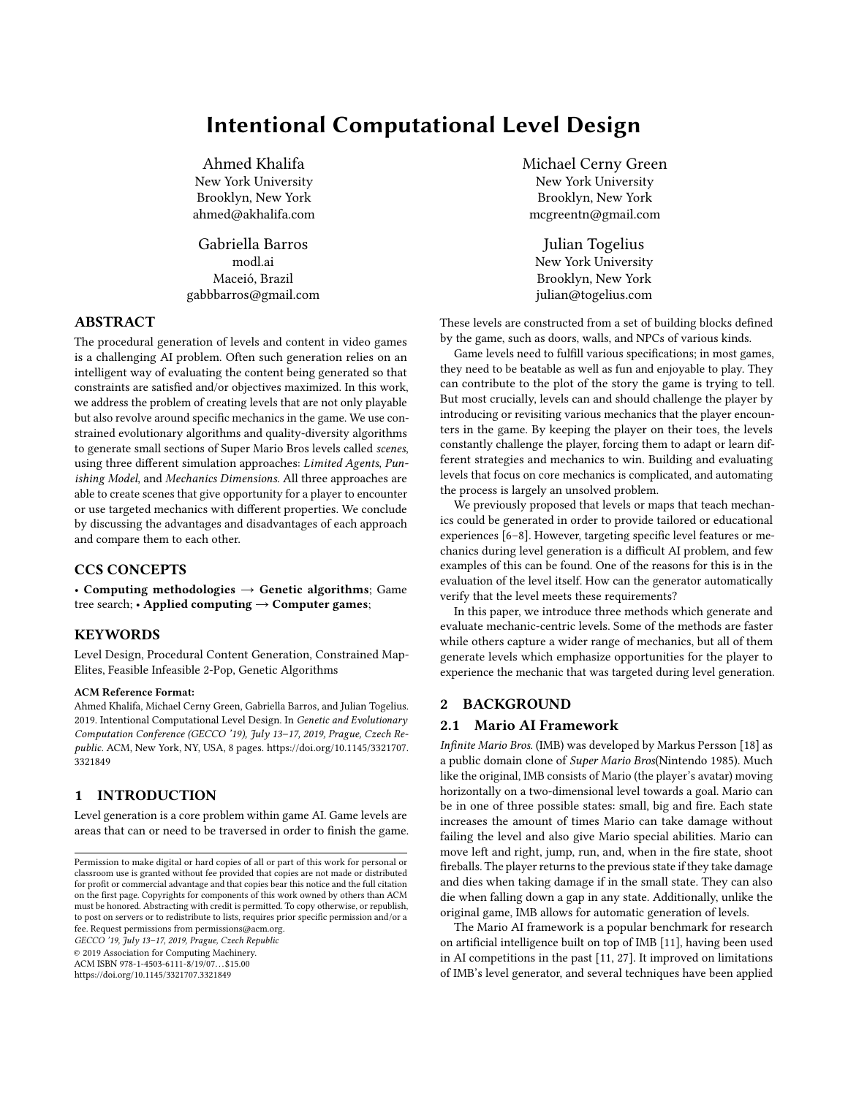<span id="page-5-0"></span>GECCO '19, July 13-17, 2019, Prague, Czech Republic Khalifa et al.



(a) No Run Agent (b) Limited Jump Agent (c) Enemy Blind Agent



<span id="page-5-1"></span>

Figure 5: The average maximum fitness value and the standard error of the punishing model approaches over 5 runs.

long nor running. Resulting scenes contain a small enough gap to cross (Figure [10a\)](#page-7-19). The long jump, on the other hand, requires traversing long distances on the x-axis without the need of reaching a higher point on the y-axis (thus not requiring to hold the jump button for long). The scene in Figure [10b](#page-7-19) ensures that the second jump is long enough for that x-axis traversal. Lastly, the long high jump requires a longer traversing distance, i.e. pressing the jump button longer (Figure [10c\)](#page-7-19) with a larger second gap. Similar to the punishing model experiments, all the generated level from the 5 runs have different layout while still maintaining the necessary set-up for the mechanic to occur.

# 5 DISCUSSION

From the results, we can see that each approach has its own advantages and disadvantages. The "Limited Agent" is the simpler and faster than the "Punishing Model", as the former doesn't involve modifying the game engine itself but only the agents. Its main disadvantage is that in order to use this technique, it is necessary to modify the agents in a way that revolves around a certain game mechanic. Modifying an agent like this can be challenging because of how difficult it can be to identify all game mechanics just from the ways the agent interacts with the world. For example, enemy blindness is easy because Mario dies when he directly collides with an enemy and therefore can be "blind" to the collision, but identifying a shell kill is harder (how does an agent see or not see a shell killing an enemy?). Another problem is that generated scenes do not require that the player uses that mechanic in order to beat the scene. Figure [4a](#page-5-0) shows a No Run agent scene that the player can beat if they only wait until the koopa paratroopa passes by.

The "Punishing Model" was able to generate scenes that revolved around the targeted mechanic and were quite difficult to beat without triggering it. Theoretically, all the generated scenes should guarantee the required mechanic is triggered to beat it, but the usage of an imperfect agent prevented that. Because Robin Baumgarten's A\* agent makes mistakes, some generated scenes were winnable even if you ignored the mechanic (e.g. Figure [6d](#page-6-12) and [6e\)](#page-6-12). In most of the runs for complicated mechanics such as mushroomrelated ones, the algorithm spent most generations attempting to stabilize and therefore did not have enough time to simplify its creations, resulting in complex scenes.

One can see that both FI-2Pop techniques are vulnerable to agent errors. For example, if an agent died because of a mistake the algorithm didn't intended for, the scene will pass as a good scene that contains a targeted mechanic, even if the scene might not have the mechanic anywhere in it. Possible solutions for this might be to use either more exhaustive agents, or to run the same agent multiple times and pick the best run. The trade-off with either solution is both will require more computational time.

The "Mechanics Dimensions" technique also does not guarantee that the player must trigger a specific mechanic to beat the scene, but it does guarantee that the mechanic could be used if the player desired. It was able to generate scenes with more than one targeted mechanic at the same time, and it used a single agent in the generation process, making it the fastest approach of all three (taking half the required time of the others). Furthermore, the "Mechanics Dimensions" method does not search for one scene like the other two approaches, instead searching for a set of scenes that contain the targeted mechanic(s). This way of thinking might not be optimal in some cases, e.g. if the target mechanic is not that easy to find, the algorithm might spend too much time to find other unnecessary mechanics. To modify this technique to guarantee that it generates scenes in which a targeted mechanic must occur, the playing agent could theoretically be swapped for an agent that is able to find all possible solutions in a scene. Then the target mechanic is recorded as fired only if it is triggered in all possible solutions. This would however be impractical even for a game of Super Mario Bros' complexity.

## 6 CONCLUSION

An important problem within game AI is to generate levels with specific characteristics for given domains. Game levels are often used to teach mechanics, or to at least guarantee that players are skilled enough at using a certain mechanic in order to advance in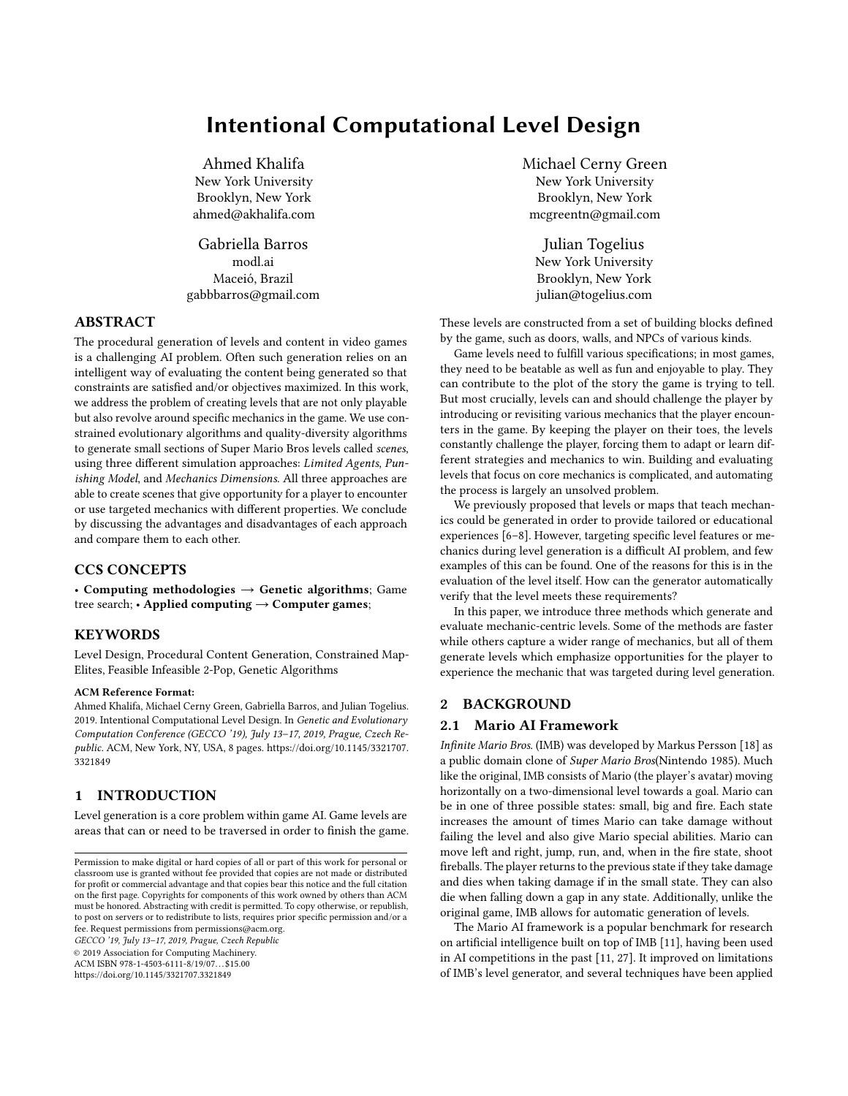<span id="page-6-12"></span>



(d) Shell Kill Punishing Model (e) Mushroom Punishing Model (f) Coin Punishing Model

Figure 6: The results for the punishing model approach after 1000 generations.

<span id="page-6-13"></span>

#### Figure 7: The average number of elites and the standard error in the Mechanics Dimensions approach over the 5 runs.

the game. This paper introduced three methods for automatically creating levels that revolve around specific mechanics. We used the Mario AI framework as a testbed and focused on generating scenes, small sections of a level that tackle a certain idea or mechanic(s).

While the results shown are promising, there are still limitations. The first approach, "Limited Agents", relies on manually identifying mechanics and implementing agents that have limited knowledge of each one. Both this and the second approach, "Punishing Models", are susceptible to agent-related game-playing mistakes. Also, both the first and the third approach, "Mechanics Dimensions", don't guarantee that the target mechanics is needed to beat the scene. In the future, we may address these limitations by building more robust agents, so we can exhaustively search possible solutions. The generated levels are also only scenes. By connecting these scenes together, our approaches might be able to construct entire levels.

This work can also be of benefit to and benefit from works that focus on extracting mechanics from games, such as that at AtDelfi Project [\[6\]](#page-6-0), which identifies mechanics from a critical path to win the game. We could use these to automatically identify dimensions in the Constrained Map-Elites.

#### ACKNOWLEDGMENTS

Ahmed Khalifa acknowledges the financial support from NSF grant (Award number 1717324 - "RI: Small: General Intelligence through Algorithm Invention and Selection."). Michael Cerny Green acknowledges the financial support of the SOE Fellowship from NYU Tandon School of Engineering.

# REFERENCES

- <span id="page-6-11"></span>[1] Anna Anthropy and Naomi Clark. 2014. A game design vocabulary: Exploring the foundational principles behind good game design. Pearson Education.
- <span id="page-6-3"></span>[2] Daniel Ashlock. 2010. Automatic generation of game elements via evolution. In Computational Intelligence and Games Conference. IEEE, 289–296.
- <span id="page-6-5"></span>[3] Daniel Ashlock. 2015. Evolvable fashion-based cellular automata for generating cavern systems. In Computational Intelligence and Games Conference. IEEE, 306– 313.
- <span id="page-6-4"></span>[4] Daniel Ashlock, Colin Lee, and Cameron McGuinness. 2011. Search-based procedural generation of maze-like levels. Transactions on Computational Intelligence and AI in Games 3, 3 (2011), 260–273.
- <span id="page-6-10"></span>[5] Steve Dahlskog and Julian Togelius. 2013. Patterns as objectives for level generation. (2013).
- <span id="page-6-0"></span>[6] Michael Cerny Green, Ahmed Khalifa, Gabriella AB Barros, Tiago Machado, Andy Nealen, and Julian Togelius. 2018. AtDELFI: automatically designing legible, full instructions for games. In International Conference on the Foundations of Digital Games. ACM, 17.
- <span id="page-6-8"></span>[7] Michael Cerny Green, Ahmed Khalifa, Gabriella AB Barros, Andy Nealen, and Julian Togelius. 2018. Generating levels that teach mechanics. In International Conference on the Foundations of Digital Games. ACM, 55.
- <span id="page-6-1"></span>[8] Michael Cerny Green, Ahmed Khalifa, Gabriella AB Barros, and Julian Togellius. 2017. " Press Space to Fire": Automatic Video Game Tutorial Generation. In Artificial Intelligence and Interactive Digital Entertainment Conference.
- <span id="page-6-7"></span>[9] Michael Cerny Green, Benjamin Sergent, Pushyami Shandilya, and Vibhor Kumar. 2019. Evolutionarily-Curated Curriculum Learning for Deep Reinforcement Learning Agents. Deep Reinforcement Learning in Games Workshop, Association for the Advancement of Artificial Intelligence (AAAI) (2019).
- <span id="page-6-9"></span>[10] Britton Horn, Steve Dahlskog, Noor Shaker, Gillian Smith, and Julian Togelius. 2014. A comparative evaluation of procedural level generators in the mario ai framework. Society for the Advancement of the Science of Digital Games.
- <span id="page-6-2"></span>[11] Sergey Karakovskiy and Julian Togelius. 2012. The mario ai benchmark and competitions. Transactions on Computational Intelligence and AI in Games 4, 1 (2012), 55–67.
- <span id="page-6-6"></span>[12] Ahmed Khalifa and Magda Fayek. 2015. Automatic puzzle level generation: A general approach using a description language. In Computational Creativity and